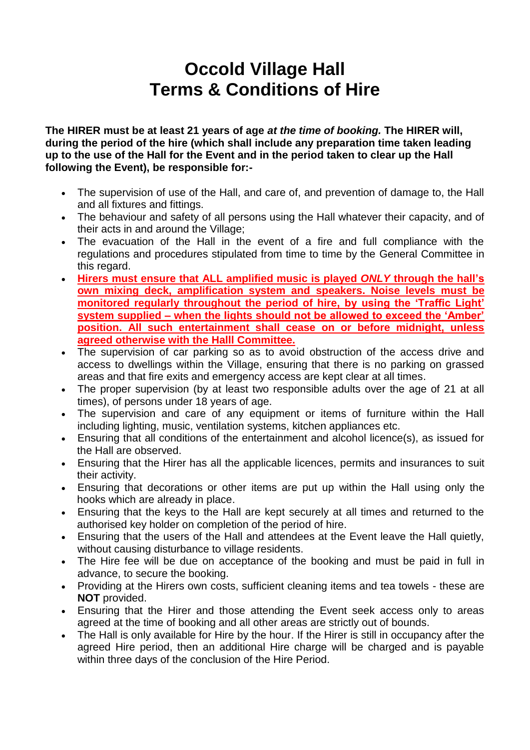# **Occold Village Hall Terms & Conditions of Hire**

**The HIRER must be at least 21 years of age** *at the time of booking.* **The HIRER will, during the period of the hire (which shall include any preparation time taken leading up to the use of the Hall for the Event and in the period taken to clear up the Hall following the Event), be responsible for:-**

- The supervision of use of the Hall, and care of, and prevention of damage to, the Hall and all fixtures and fittings.
- The behaviour and safety of all persons using the Hall whatever their capacity, and of their acts in and around the Village;
- The evacuation of the Hall in the event of a fire and full compliance with the regulations and procedures stipulated from time to time by the General Committee in this regard.
- **Hirers must ensure that ALL amplified music is played** *ONLY* **through the hall's own mixing deck, amplification system and speakers. Noise levels must be monitored regularly throughout the period of hire, by using the 'Traffic Light' system supplied – when the lights should not be allowed to exceed the 'Amber' position. All such entertainment shall cease on or before midnight, unless agreed otherwise with the Halll Committee.**
- The supervision of car parking so as to avoid obstruction of the access drive and access to dwellings within the Village, ensuring that there is no parking on grassed areas and that fire exits and emergency access are kept clear at all times.
- The proper supervision (by at least two responsible adults over the age of 21 at all times), of persons under 18 years of age.
- The supervision and care of any equipment or items of furniture within the Hall including lighting, music, ventilation systems, kitchen appliances etc.
- Ensuring that all conditions of the entertainment and alcohol licence(s), as issued for the Hall are observed.
- Ensuring that the Hirer has all the applicable licences, permits and insurances to suit their activity.
- Ensuring that decorations or other items are put up within the Hall using only the hooks which are already in place.
- Ensuring that the keys to the Hall are kept securely at all times and returned to the authorised key holder on completion of the period of hire.
- Ensuring that the users of the Hall and attendees at the Event leave the Hall quietly, without causing disturbance to village residents.
- The Hire fee will be due on acceptance of the booking and must be paid in full in advance, to secure the booking.
- Providing at the Hirers own costs, sufficient cleaning items and tea towels these are **NOT** provided.
- Ensuring that the Hirer and those attending the Event seek access only to areas agreed at the time of booking and all other areas are strictly out of bounds.
- The Hall is only available for Hire by the hour. If the Hirer is still in occupancy after the agreed Hire period, then an additional Hire charge will be charged and is payable within three days of the conclusion of the Hire Period.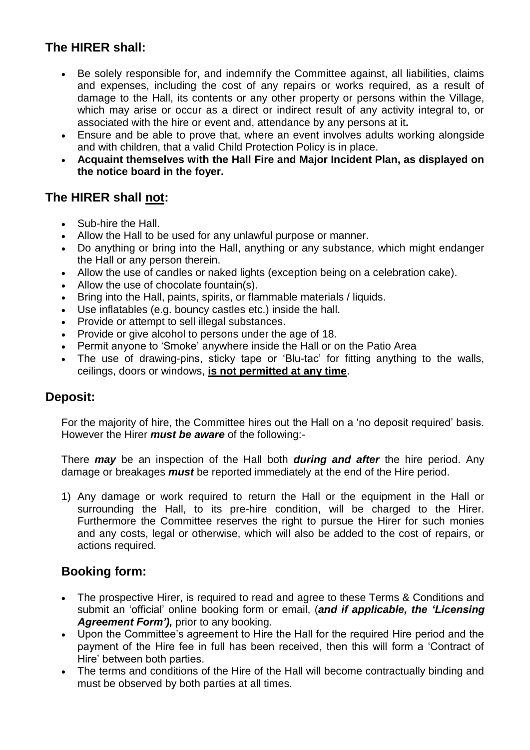# **The HIRER shall:**

- Be solely responsible for, and indemnify the Committee against, all liabilities, claims and expenses, including the cost of any repairs or works required, as a result of damage to the Hall, its contents or any other property or persons within the Village, which may arise or occur as a direct or indirect result of any activity integral to, or associated with the hire or event and, attendance by any persons at it**.**
- Ensure and be able to prove that, where an event involves adults working alongside and with children, that a valid Child Protection Policy is in place.
- **Acquaint themselves with the Hall Fire and Major Incident Plan, as displayed on the notice board in the foyer.**

# **The HIRER shall not:**

- Sub-hire the Hall.
- Allow the Hall to be used for any unlawful purpose or manner.
- Do anything or bring into the Hall, anything or any substance, which might endanger the Hall or any person therein.
- Allow the use of candles or naked lights (exception being on a celebration cake).
- Allow the use of chocolate fountain(s).
- Bring into the Hall, paints, spirits, or flammable materials / liquids.
- Use inflatables (e.g. bouncy castles etc.) inside the hall.
- Provide or attempt to sell illegal substances.
- Provide or give alcohol to persons under the age of 18.
- Permit anyone to 'Smoke' anywhere inside the Hall or on the Patio Area
- The use of drawing-pins, sticky tape or 'Blu-tac' for fitting anything to the walls, ceilings, doors or windows, **is not permitted at any time**.

#### **Deposit:**

For the majority of hire, the Committee hires out the Hall on a 'no deposit required' basis. However the Hirer *must be aware* of the following:-

There *may* be an inspection of the Hall both *during and after* the hire period. Any damage or breakages *must* be reported immediately at the end of the Hire period.

1) Any damage or work required to return the Hall or the equipment in the Hall or surrounding the Hall, to its pre-hire condition, will be charged to the Hirer. Furthermore the Committee reserves the right to pursue the Hirer for such monies and any costs, legal or otherwise, which will also be added to the cost of repairs, or actions required.

## **Booking form:**

- The prospective Hirer, is required to read and agree to these Terms & Conditions and submit an 'official' online booking form or email, (*and if applicable, the 'Licensing Agreement Form'),* prior to any booking.
- Upon the Committee's agreement to Hire the Hall for the required Hire period and the payment of the Hire fee in full has been received, then this will form a 'Contract of Hire' between both parties.
- The terms and conditions of the Hire of the Hall will become contractually binding and must be observed by both parties at all times.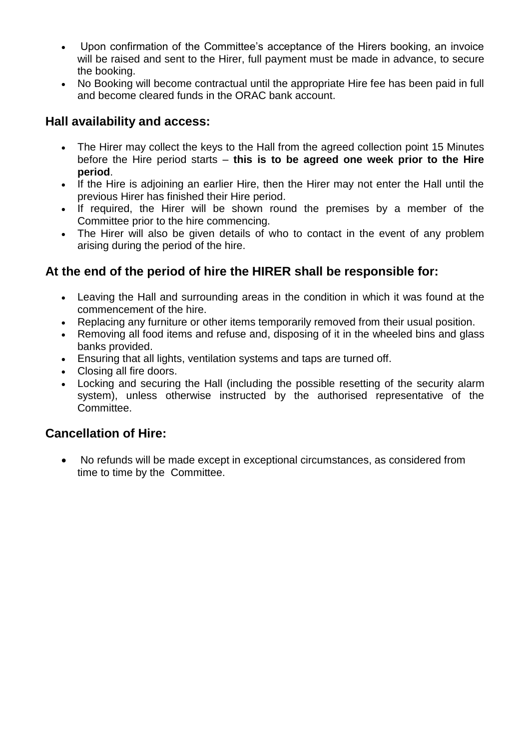- Upon confirmation of the Committee's acceptance of the Hirers booking, an invoice will be raised and sent to the Hirer, full payment must be made in advance, to secure the booking.
- No Booking will become contractual until the appropriate Hire fee has been paid in full and become cleared funds in the ORAC bank account.

# **Hall availability and access:**

- The Hirer may collect the keys to the Hall from the agreed collection point 15 Minutes before the Hire period starts – **this is to be agreed one week prior to the Hire period**.
- If the Hire is adioining an earlier Hire, then the Hirer may not enter the Hall until the previous Hirer has finished their Hire period.
- If required, the Hirer will be shown round the premises by a member of the Committee prior to the hire commencing.
- The Hirer will also be given details of who to contact in the event of any problem arising during the period of the hire.

# **At the end of the period of hire the HIRER shall be responsible for:**

- Leaving the Hall and surrounding areas in the condition in which it was found at the commencement of the hire.
- Replacing any furniture or other items temporarily removed from their usual position.
- Removing all food items and refuse and, disposing of it in the wheeled bins and glass banks provided.
- Ensuring that all lights, ventilation systems and taps are turned off.
- Closing all fire doors.
- Locking and securing the Hall (including the possible resetting of the security alarm system), unless otherwise instructed by the authorised representative of the **Committee**

## **Cancellation of Hire:**

 No refunds will be made except in exceptional circumstances, as considered from time to time by the Committee.